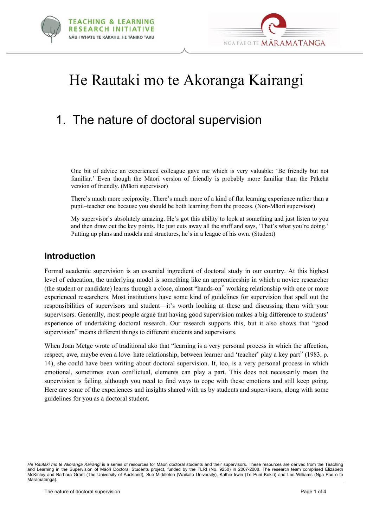



# He Rautaki mo te Akoranga Kairangi

# 1. The nature of doctoral supervision

One bit of advice an experienced colleague gave me which is very valuable: 'Be friendly but not familiar.' Even though the Mäori version of friendly is probably more familiar than the Päkehä version of friendly. (Mäori supervisor)

There's much more reciprocity. There's much more of a kind of flat learning experience rather than a pupil–teacher one because you should be both learning from the process. (Non-Mäori supervisor)

My supervisor's absolutely amazing. He's got this ability to look at something and just listen to you and then draw out the key points. He just cuts away all the stuff and says, 'That's what you're doing.' Putting up plans and models and structures, he's in a league of his own. (Student)

#### **Introduction**

Formal academic supervision is an essential ingredient of doctoral study in our country. At this highest level of education, the underlying model is something like an apprenticeship in which a novice researcher (the student or candidate) learns through a close, almost "hands-on" working relationship with one or more experienced researchers. Most institutions have some kind of guidelines for supervision that spell out the responsibilities of supervisors and student—it's worth looking at these and discussing them with your supervisors. Generally, most people argue that having good supervision makes a big difference to students' experience of undertaking doctoral research. Our research supports this, but it also shows that "good supervision" means different things to different students and supervisors.

When Joan Metge wrote of traditional ako that "learning is a very personal process in which the affection, respect, awe, maybe even a love–hate relationship, between learner and 'teacher' play a key part" (1983, p. 14), she could have been writing about doctoral supervision. It, too, is a very personal process in which emotional, sometimes even conflictual, elements can play a part. This does not necessarily mean the supervision is failing, although you need to find ways to cope with these emotions and still keep going. Here are some of the experiences and insights shared with us by students and supervisors, along with some guidelines for you as a doctoral student.

*He Rautaki mo te Akoranga Kairangi* is a series of resources for Mäori doctoral students and their supervisors. These resources are derived from the Teaching and Learning in the Supervision of Mäori Doctoral Students project, funded by the TLRI (No. 9250) in 2007-2008. The research team comprised Elizabeth McKinley and Barbara Grant (The University of Auckland), Sue Middleton (Waikato University), Kathie Irwin (Te Puni Kokiri) and Les Williams (Nga Pae o te Maramatanga).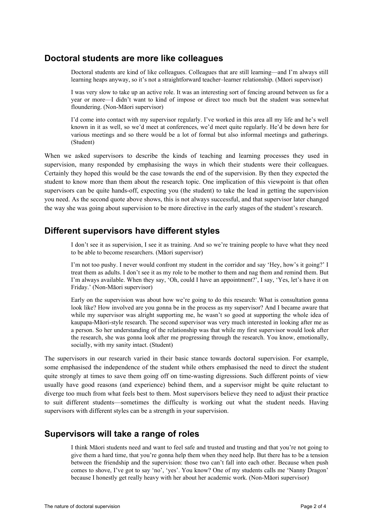#### **Doctoral students are more like colleagues**

Doctoral students are kind of like colleagues. Colleagues that are still learning—and I'm always still learning heaps anyway, so it's not a straightforward teacher–learner relationship. (Mäori supervisor)

I was very slow to take up an active role. It was an interesting sort of fencing around between us for a year or more—I didn't want to kind of impose or direct too much but the student was somewhat floundering. (Non-Mäori supervisor)

I'd come into contact with my supervisor regularly. I've worked in this area all my life and he's well known in it as well, so we'd meet at conferences, we'd meet quite regularly. He'd be down here for various meetings and so there would be a lot of formal but also informal meetings and gatherings. (Student)

When we asked supervisors to describe the kinds of teaching and learning processes they used in supervision, many responded by emphasising the ways in which their students were their colleagues. Certainly they hoped this would be the case towards the end of the supervision. By then they expected the student to know more than them about the research topic. One implication of this viewpoint is that often supervisors can be quite hands-off, expecting you (the student) to take the lead in getting the supervision you need. As the second quote above shows, this is not always successful, and that supervisor later changed the way she was going about supervision to be more directive in the early stages of the student's research.

### **Different supervisors have different styles**

I don't see it as supervision, I see it as training. And so we're training people to have what they need to be able to become researchers. (Mäori supervisor)

I'm not too pushy. I never would confront my student in the corridor and say 'Hey, how's it going?' I treat them as adults. I don't see it as my role to be mother to them and nag them and remind them. But I'm always available. When they say, 'Oh, could I have an appointment?', I say, 'Yes, let's have it on Friday.' (Non-Mäori supervisor)

Early on the supervision was about how we're going to do this research: What is consultation gonna look like? How involved are you gonna be in the process as my supervisor? And I became aware that while my supervisor was alright supporting me, he wasn't so good at supporting the whole idea of kaupapa-Mäori-style research. The second supervisor was very much interested in looking after me as a person. So her understanding of the relationship was that while my first supervisor would look after the research, she was gonna look after me progressing through the research. You know, emotionally, socially, with my sanity intact. (Student)

The supervisors in our research varied in their basic stance towards doctoral supervision. For example, some emphasised the independence of the student while others emphasised the need to direct the student quite strongly at times to save them going off on time-wasting digressions. Such different points of view usually have good reasons (and experience) behind them, and a supervisor might be quite reluctant to diverge too much from what feels best to them. Most supervisors believe they need to adjust their practice to suit different students—sometimes the difficulty is working out what the student needs. Having supervisors with different styles can be a strength in your supervision.

#### **Supervisors will take a range of roles**

I think Mäori students need and want to feel safe and trusted and trusting and that you're not going to give them a hard time, that you're gonna help them when they need help. But there has to be a tension between the friendship and the supervision: those two can't fall into each other. Because when push comes to shove, I've got to say 'no', 'yes'. You know? One of my students calls me 'Nanny Dragon' because I honestly get really heavy with her about her academic work. (Non-Mäori supervisor)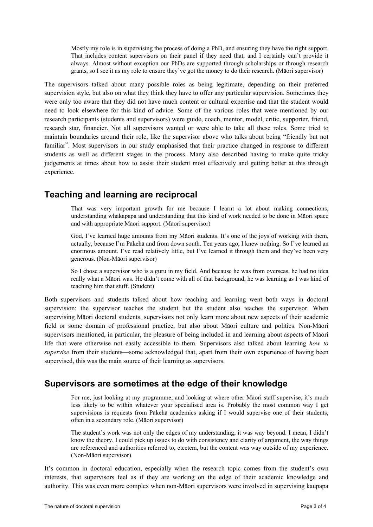Mostly my role is in supervising the process of doing a PhD, and ensuring they have the right support. That includes content supervisors on their panel if they need that, and I certainly can't provide it always. Almost without exception our PhDs are supported through scholarships or through research grants, so I see it as my role to ensure they've got the money to do their research. (Mäori supervisor)

The supervisors talked about many possible roles as being legitimate, depending on their preferred supervision style, but also on what they think they have to offer any particular supervision. Sometimes they were only too aware that they did not have much content or cultural expertise and that the student would need to look elsewhere for this kind of advice. Some of the various roles that were mentioned by our research participants (students and supervisors) were guide, coach, mentor, model, critic, supporter, friend, research star, financier. Not all supervisors wanted or were able to take all these roles. Some tried to maintain boundaries around their role, like the supervisor above who talks about being "friendly but not familiar". Most supervisors in our study emphasised that their practice changed in response to different students as well as different stages in the process. Many also described having to make quite tricky judgements at times about how to assist their student most effectively and getting better at this through experience.

# **Teaching and learning are reciprocal**

That was very important growth for me because I learnt a lot about making connections, understanding whakapapa and understanding that this kind of work needed to be done in Mäori space and with appropriate Mäori support. (Mäori supervisor)

God, I've learned huge amounts from my Mäori students. It's one of the joys of working with them, actually, because I'm Päkehä and from down south. Ten years ago, I knew nothing. So I've learned an enormous amount. I've read relatively little, but I've learned it through them and they've been very generous. (Non-Mäori supervisor)

So I chose a supervisor who is a guru in my field. And because he was from overseas, he had no idea really what a Mäori was. He didn't come with all of that background, he was learning as I was kind of teaching him that stuff. (Student)

Both supervisors and students talked about how teaching and learning went both ways in doctoral supervision: the supervisor teaches the student but the student also teaches the supervisor. When supervising Mäori doctoral students, supervisors not only learn more about new aspects of their academic field or some domain of professional practice, but also about Mäori culture and politics. Non-Mäori supervisors mentioned, in particular, the pleasure of being included in and learning about aspects of Mäori life that were otherwise not easily accessible to them. Supervisors also talked about learning *how to supervise* from their students—some acknowledged that, apart from their own experience of having been supervised, this was the main source of their learning as supervisors.

### **Supervisors are sometimes at the edge of their knowledge**

For me, just looking at my programme, and looking at where other Mäori staff supervise, it's much less likely to be within whatever your specialised area is. Probably the most common way I get supervisions is requests from Päkehä academics asking if I would supervise one of their students, often in a secondary role. (Mäori supervisor)

The student's work was not only the edges of my understanding, it was way beyond. I mean, I didn't know the theory. I could pick up issues to do with consistency and clarity of argument, the way things are referenced and authorities referred to, etcetera, but the content was way outside of my experience. (Non-Mäori supervisor)

It's common in doctoral education, especially when the research topic comes from the student's own interests, that supervisors feel as if they are working on the edge of their academic knowledge and authority. This was even more complex when non-Mäori supervisors were involved in supervising kaupapa